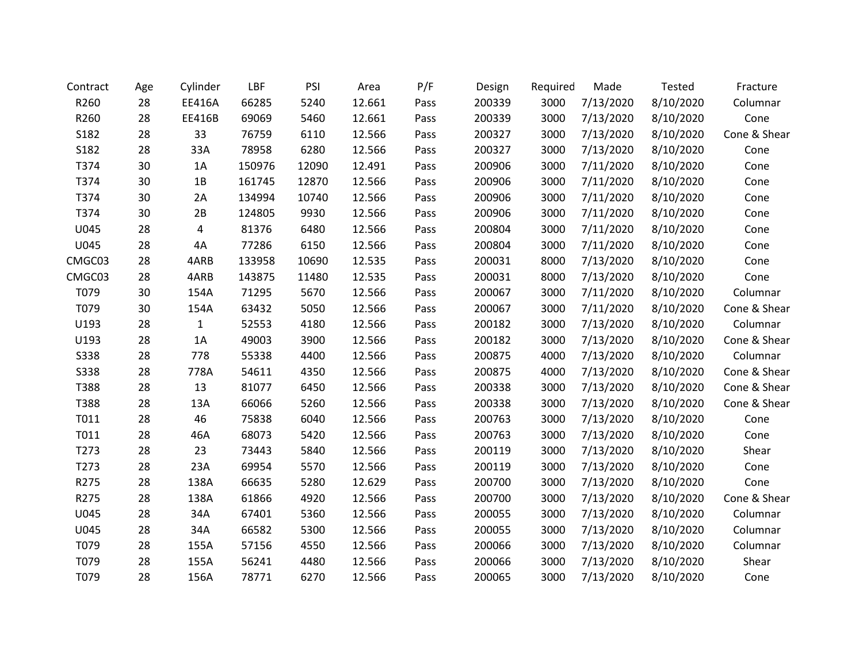| Contract    | Age | Cylinder     | LBF    | PSI   | Area   | P/F  | Design | Required | Made      | Tested    | Fracture     |
|-------------|-----|--------------|--------|-------|--------|------|--------|----------|-----------|-----------|--------------|
| R260        | 28  | EE416A       | 66285  | 5240  | 12.661 | Pass | 200339 | 3000     | 7/13/2020 | 8/10/2020 | Columnar     |
| R260        | 28  | EE416B       | 69069  | 5460  | 12.661 | Pass | 200339 | 3000     | 7/13/2020 | 8/10/2020 | Cone         |
| S182        | 28  | 33           | 76759  | 6110  | 12.566 | Pass | 200327 | 3000     | 7/13/2020 | 8/10/2020 | Cone & Shear |
| S182        | 28  | 33A          | 78958  | 6280  | 12.566 | Pass | 200327 | 3000     | 7/13/2020 | 8/10/2020 | Cone         |
| T374        | 30  | 1A           | 150976 | 12090 | 12.491 | Pass | 200906 | 3000     | 7/11/2020 | 8/10/2020 | Cone         |
| T374        | 30  | 1B           | 161745 | 12870 | 12.566 | Pass | 200906 | 3000     | 7/11/2020 | 8/10/2020 | Cone         |
| T374        | 30  | 2A           | 134994 | 10740 | 12.566 | Pass | 200906 | 3000     | 7/11/2020 | 8/10/2020 | Cone         |
| T374        | 30  | 2B           | 124805 | 9930  | 12.566 | Pass | 200906 | 3000     | 7/11/2020 | 8/10/2020 | Cone         |
| U045        | 28  | 4            | 81376  | 6480  | 12.566 | Pass | 200804 | 3000     | 7/11/2020 | 8/10/2020 | Cone         |
| U045        | 28  | 4A           | 77286  | 6150  | 12.566 | Pass | 200804 | 3000     | 7/11/2020 | 8/10/2020 | Cone         |
| CMGC03      | 28  | 4ARB         | 133958 | 10690 | 12.535 | Pass | 200031 | 8000     | 7/13/2020 | 8/10/2020 | Cone         |
| CMGC03      | 28  | 4ARB         | 143875 | 11480 | 12.535 | Pass | 200031 | 8000     | 7/13/2020 | 8/10/2020 | Cone         |
| T079        | 30  | 154A         | 71295  | 5670  | 12.566 | Pass | 200067 | 3000     | 7/11/2020 | 8/10/2020 | Columnar     |
| T079        | 30  | 154A         | 63432  | 5050  | 12.566 | Pass | 200067 | 3000     | 7/11/2020 | 8/10/2020 | Cone & Shear |
| U193        | 28  | $\mathbf{1}$ | 52553  | 4180  | 12.566 | Pass | 200182 | 3000     | 7/13/2020 | 8/10/2020 | Columnar     |
| U193        | 28  | 1A           | 49003  | 3900  | 12.566 | Pass | 200182 | 3000     | 7/13/2020 | 8/10/2020 | Cone & Shear |
| <b>S338</b> | 28  | 778          | 55338  | 4400  | 12.566 | Pass | 200875 | 4000     | 7/13/2020 | 8/10/2020 | Columnar     |
| <b>S338</b> | 28  | 778A         | 54611  | 4350  | 12.566 | Pass | 200875 | 4000     | 7/13/2020 | 8/10/2020 | Cone & Shear |
| T388        | 28  | 13           | 81077  | 6450  | 12.566 | Pass | 200338 | 3000     | 7/13/2020 | 8/10/2020 | Cone & Shear |
| T388        | 28  | 13A          | 66066  | 5260  | 12.566 | Pass | 200338 | 3000     | 7/13/2020 | 8/10/2020 | Cone & Shear |
| T011        | 28  | 46           | 75838  | 6040  | 12.566 | Pass | 200763 | 3000     | 7/13/2020 | 8/10/2020 | Cone         |
| T011        | 28  | 46A          | 68073  | 5420  | 12.566 | Pass | 200763 | 3000     | 7/13/2020 | 8/10/2020 | Cone         |
| T273        | 28  | 23           | 73443  | 5840  | 12.566 | Pass | 200119 | 3000     | 7/13/2020 | 8/10/2020 | Shear        |
| T273        | 28  | 23A          | 69954  | 5570  | 12.566 | Pass | 200119 | 3000     | 7/13/2020 | 8/10/2020 | Cone         |
| R275        | 28  | 138A         | 66635  | 5280  | 12.629 | Pass | 200700 | 3000     | 7/13/2020 | 8/10/2020 | Cone         |
| R275        | 28  | 138A         | 61866  | 4920  | 12.566 | Pass | 200700 | 3000     | 7/13/2020 | 8/10/2020 | Cone & Shear |
| U045        | 28  | 34A          | 67401  | 5360  | 12.566 | Pass | 200055 | 3000     | 7/13/2020 | 8/10/2020 | Columnar     |
| U045        | 28  | 34A          | 66582  | 5300  | 12.566 | Pass | 200055 | 3000     | 7/13/2020 | 8/10/2020 | Columnar     |
| T079        | 28  | 155A         | 57156  | 4550  | 12.566 | Pass | 200066 | 3000     | 7/13/2020 | 8/10/2020 | Columnar     |
| T079        | 28  | 155A         | 56241  | 4480  | 12.566 | Pass | 200066 | 3000     | 7/13/2020 | 8/10/2020 | Shear        |
| T079        | 28  | 156A         | 78771  | 6270  | 12.566 | Pass | 200065 | 3000     | 7/13/2020 | 8/10/2020 | Cone         |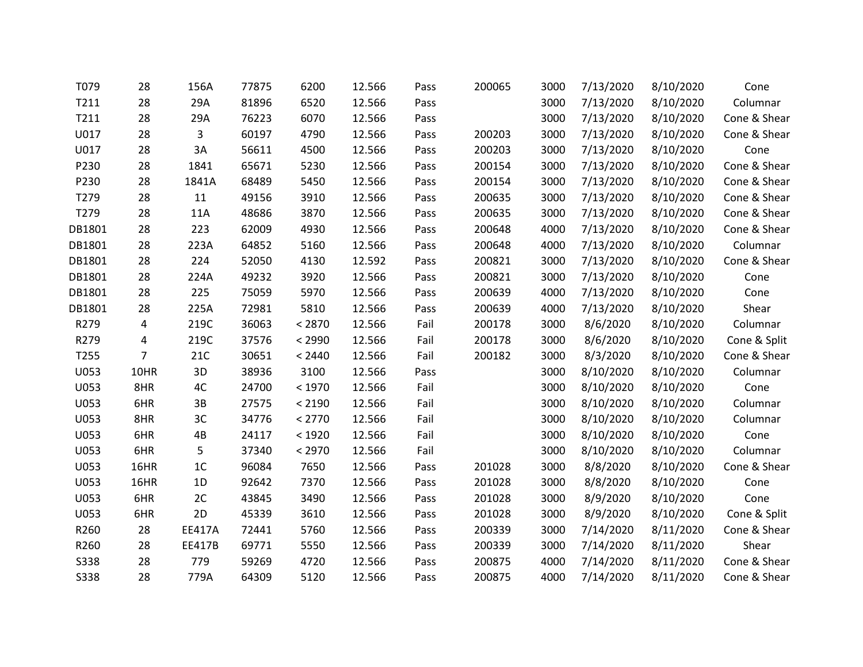| T079   | 28             | 156A           | 77875 | 6200   | 12.566 | Pass | 200065 | 3000 | 7/13/2020 | 8/10/2020 | Cone         |
|--------|----------------|----------------|-------|--------|--------|------|--------|------|-----------|-----------|--------------|
| T211   | 28             | 29A            | 81896 | 6520   | 12.566 | Pass |        | 3000 | 7/13/2020 | 8/10/2020 | Columnar     |
| T211   | 28             | 29A            | 76223 | 6070   | 12.566 | Pass |        | 3000 | 7/13/2020 | 8/10/2020 | Cone & Shear |
| U017   | 28             | 3              | 60197 | 4790   | 12.566 | Pass | 200203 | 3000 | 7/13/2020 | 8/10/2020 | Cone & Shear |
| U017   | 28             | 3A             | 56611 | 4500   | 12.566 | Pass | 200203 | 3000 | 7/13/2020 | 8/10/2020 | Cone         |
| P230   | 28             | 1841           | 65671 | 5230   | 12.566 | Pass | 200154 | 3000 | 7/13/2020 | 8/10/2020 | Cone & Shear |
| P230   | 28             | 1841A          | 68489 | 5450   | 12.566 | Pass | 200154 | 3000 | 7/13/2020 | 8/10/2020 | Cone & Shear |
| T279   | 28             | 11             | 49156 | 3910   | 12.566 | Pass | 200635 | 3000 | 7/13/2020 | 8/10/2020 | Cone & Shear |
| T279   | 28             | 11A            | 48686 | 3870   | 12.566 | Pass | 200635 | 3000 | 7/13/2020 | 8/10/2020 | Cone & Shear |
| DB1801 | 28             | 223            | 62009 | 4930   | 12.566 | Pass | 200648 | 4000 | 7/13/2020 | 8/10/2020 | Cone & Shear |
| DB1801 | 28             | 223A           | 64852 | 5160   | 12.566 | Pass | 200648 | 4000 | 7/13/2020 | 8/10/2020 | Columnar     |
| DB1801 | 28             | 224            | 52050 | 4130   | 12.592 | Pass | 200821 | 3000 | 7/13/2020 | 8/10/2020 | Cone & Shear |
| DB1801 | 28             | 224A           | 49232 | 3920   | 12.566 | Pass | 200821 | 3000 | 7/13/2020 | 8/10/2020 | Cone         |
| DB1801 | 28             | 225            | 75059 | 5970   | 12.566 | Pass | 200639 | 4000 | 7/13/2020 | 8/10/2020 | Cone         |
| DB1801 | 28             | 225A           | 72981 | 5810   | 12.566 | Pass | 200639 | 4000 | 7/13/2020 | 8/10/2020 | Shear        |
| R279   | 4              | 219C           | 36063 | < 2870 | 12.566 | Fail | 200178 | 3000 | 8/6/2020  | 8/10/2020 | Columnar     |
| R279   | 4              | 219C           | 37576 | < 2990 | 12.566 | Fail | 200178 | 3000 | 8/6/2020  | 8/10/2020 | Cone & Split |
| T255   | $\overline{7}$ | 21C            | 30651 | < 2440 | 12.566 | Fail | 200182 | 3000 | 8/3/2020  | 8/10/2020 | Cone & Shear |
| U053   | 10HR           | 3D             | 38936 | 3100   | 12.566 | Pass |        | 3000 | 8/10/2020 | 8/10/2020 | Columnar     |
| U053   | 8HR            | 4C             | 24700 | < 1970 | 12.566 | Fail |        | 3000 | 8/10/2020 | 8/10/2020 | Cone         |
| U053   | 6HR            | $3B$           | 27575 | < 2190 | 12.566 | Fail |        | 3000 | 8/10/2020 | 8/10/2020 | Columnar     |
| U053   | 8HR            | 3C             | 34776 | < 2770 | 12.566 | Fail |        | 3000 | 8/10/2020 | 8/10/2020 | Columnar     |
| U053   | 6HR            | 4B             | 24117 | < 1920 | 12.566 | Fail |        | 3000 | 8/10/2020 | 8/10/2020 | Cone         |
| U053   | 6HR            | 5              | 37340 | < 2970 | 12.566 | Fail |        | 3000 | 8/10/2020 | 8/10/2020 | Columnar     |
| U053   | 16HR           | 1 <sup>C</sup> | 96084 | 7650   | 12.566 | Pass | 201028 | 3000 | 8/8/2020  | 8/10/2020 | Cone & Shear |
| U053   | 16HR           | 1D             | 92642 | 7370   | 12.566 | Pass | 201028 | 3000 | 8/8/2020  | 8/10/2020 | Cone         |
| U053   | 6HR            | 2C             | 43845 | 3490   | 12.566 | Pass | 201028 | 3000 | 8/9/2020  | 8/10/2020 | Cone         |
| U053   | 6HR            | 2D             | 45339 | 3610   | 12.566 | Pass | 201028 | 3000 | 8/9/2020  | 8/10/2020 | Cone & Split |
| R260   | 28             | <b>EE417A</b>  | 72441 | 5760   | 12.566 | Pass | 200339 | 3000 | 7/14/2020 | 8/11/2020 | Cone & Shear |
| R260   | 28             | EE417B         | 69771 | 5550   | 12.566 | Pass | 200339 | 3000 | 7/14/2020 | 8/11/2020 | Shear        |
| S338   | 28             | 779            | 59269 | 4720   | 12.566 | Pass | 200875 | 4000 | 7/14/2020 | 8/11/2020 | Cone & Shear |
| S338   | 28             | 779A           | 64309 | 5120   | 12.566 | Pass | 200875 | 4000 | 7/14/2020 | 8/11/2020 | Cone & Shear |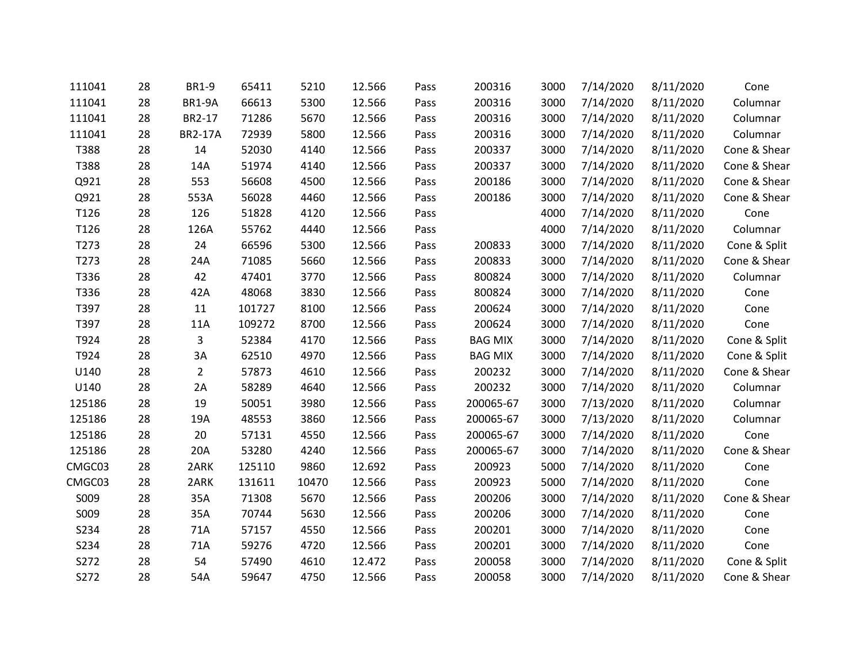| 111041 | 28 | <b>BR1-9</b>   | 65411  | 5210  | 12.566 | Pass | 200316         | 3000 | 7/14/2020 | 8/11/2020 | Cone         |
|--------|----|----------------|--------|-------|--------|------|----------------|------|-----------|-----------|--------------|
| 111041 | 28 | <b>BR1-9A</b>  | 66613  | 5300  | 12.566 | Pass | 200316         | 3000 | 7/14/2020 | 8/11/2020 | Columnar     |
| 111041 | 28 | BR2-17         | 71286  | 5670  | 12.566 | Pass | 200316         | 3000 | 7/14/2020 | 8/11/2020 | Columnar     |
| 111041 | 28 | <b>BR2-17A</b> | 72939  | 5800  | 12.566 | Pass | 200316         | 3000 | 7/14/2020 | 8/11/2020 | Columnar     |
| T388   | 28 | 14             | 52030  | 4140  | 12.566 | Pass | 200337         | 3000 | 7/14/2020 | 8/11/2020 | Cone & Shear |
| T388   | 28 | 14A            | 51974  | 4140  | 12.566 | Pass | 200337         | 3000 | 7/14/2020 | 8/11/2020 | Cone & Shear |
| Q921   | 28 | 553            | 56608  | 4500  | 12.566 | Pass | 200186         | 3000 | 7/14/2020 | 8/11/2020 | Cone & Shear |
| Q921   | 28 | 553A           | 56028  | 4460  | 12.566 | Pass | 200186         | 3000 | 7/14/2020 | 8/11/2020 | Cone & Shear |
| T126   | 28 | 126            | 51828  | 4120  | 12.566 | Pass |                | 4000 | 7/14/2020 | 8/11/2020 | Cone         |
| T126   | 28 | 126A           | 55762  | 4440  | 12.566 | Pass |                | 4000 | 7/14/2020 | 8/11/2020 | Columnar     |
| T273   | 28 | 24             | 66596  | 5300  | 12.566 | Pass | 200833         | 3000 | 7/14/2020 | 8/11/2020 | Cone & Split |
| T273   | 28 | 24A            | 71085  | 5660  | 12.566 | Pass | 200833         | 3000 | 7/14/2020 | 8/11/2020 | Cone & Shear |
| T336   | 28 | 42             | 47401  | 3770  | 12.566 | Pass | 800824         | 3000 | 7/14/2020 | 8/11/2020 | Columnar     |
| T336   | 28 | 42A            | 48068  | 3830  | 12.566 | Pass | 800824         | 3000 | 7/14/2020 | 8/11/2020 | Cone         |
| T397   | 28 | 11             | 101727 | 8100  | 12.566 | Pass | 200624         | 3000 | 7/14/2020 | 8/11/2020 | Cone         |
| T397   | 28 | 11A            | 109272 | 8700  | 12.566 | Pass | 200624         | 3000 | 7/14/2020 | 8/11/2020 | Cone         |
| T924   | 28 | 3              | 52384  | 4170  | 12.566 | Pass | <b>BAG MIX</b> | 3000 | 7/14/2020 | 8/11/2020 | Cone & Split |
| T924   | 28 | 3A             | 62510  | 4970  | 12.566 | Pass | <b>BAG MIX</b> | 3000 | 7/14/2020 | 8/11/2020 | Cone & Split |
| U140   | 28 | $\overline{2}$ | 57873  | 4610  | 12.566 | Pass | 200232         | 3000 | 7/14/2020 | 8/11/2020 | Cone & Shear |
| U140   | 28 | 2A             | 58289  | 4640  | 12.566 | Pass | 200232         | 3000 | 7/14/2020 | 8/11/2020 | Columnar     |
| 125186 | 28 | 19             | 50051  | 3980  | 12.566 | Pass | 200065-67      | 3000 | 7/13/2020 | 8/11/2020 | Columnar     |
| 125186 | 28 | 19A            | 48553  | 3860  | 12.566 | Pass | 200065-67      | 3000 | 7/13/2020 | 8/11/2020 | Columnar     |
| 125186 | 28 | 20             | 57131  | 4550  | 12.566 | Pass | 200065-67      | 3000 | 7/14/2020 | 8/11/2020 | Cone         |
| 125186 | 28 | 20A            | 53280  | 4240  | 12.566 | Pass | 200065-67      | 3000 | 7/14/2020 | 8/11/2020 | Cone & Shear |
| CMGC03 | 28 | 2ARK           | 125110 | 9860  | 12.692 | Pass | 200923         | 5000 | 7/14/2020 | 8/11/2020 | Cone         |
| CMGC03 | 28 | 2ARK           | 131611 | 10470 | 12.566 | Pass | 200923         | 5000 | 7/14/2020 | 8/11/2020 | Cone         |
| S009   | 28 | 35A            | 71308  | 5670  | 12.566 | Pass | 200206         | 3000 | 7/14/2020 | 8/11/2020 | Cone & Shear |
| S009   | 28 | 35A            | 70744  | 5630  | 12.566 | Pass | 200206         | 3000 | 7/14/2020 | 8/11/2020 | Cone         |
| S234   | 28 | 71A            | 57157  | 4550  | 12.566 | Pass | 200201         | 3000 | 7/14/2020 | 8/11/2020 | Cone         |
| S234   | 28 | 71A            | 59276  | 4720  | 12.566 | Pass | 200201         | 3000 | 7/14/2020 | 8/11/2020 | Cone         |
| S272   | 28 | 54             | 57490  | 4610  | 12.472 | Pass | 200058         | 3000 | 7/14/2020 | 8/11/2020 | Cone & Split |
| S272   | 28 | 54A            | 59647  | 4750  | 12.566 | Pass | 200058         | 3000 | 7/14/2020 | 8/11/2020 | Cone & Shear |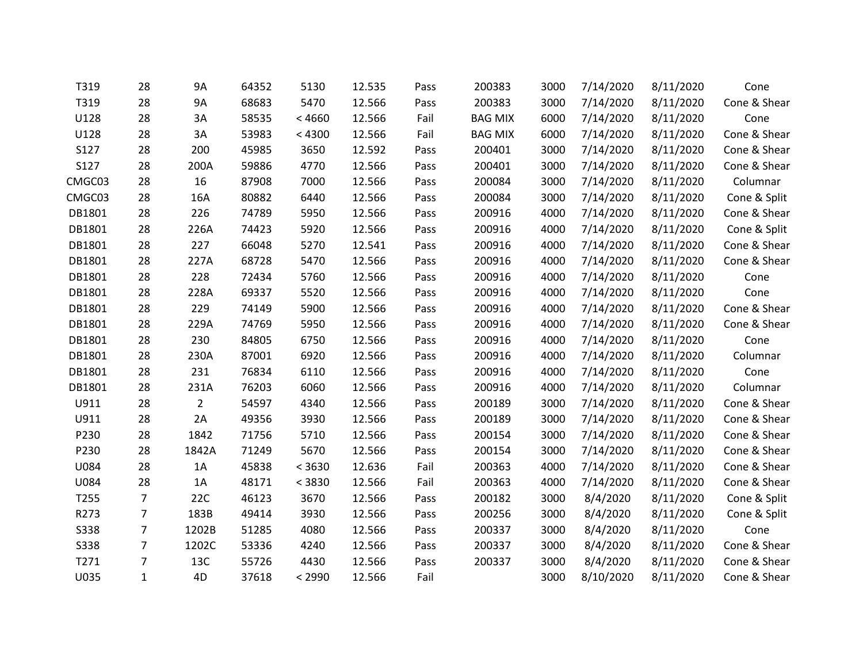| T319        | 28             | 9A             | 64352 | 5130   | 12.535 | Pass | 200383         | 3000 | 7/14/2020 | 8/11/2020 | Cone         |
|-------------|----------------|----------------|-------|--------|--------|------|----------------|------|-----------|-----------|--------------|
| T319        | 28             | <b>9A</b>      | 68683 | 5470   | 12.566 | Pass | 200383         | 3000 | 7/14/2020 | 8/11/2020 | Cone & Shear |
| U128        | 28             | 3A             | 58535 | < 4660 | 12.566 | Fail | <b>BAG MIX</b> | 6000 | 7/14/2020 | 8/11/2020 | Cone         |
| U128        | 28             | 3A             | 53983 | < 4300 | 12.566 | Fail | <b>BAG MIX</b> | 6000 | 7/14/2020 | 8/11/2020 | Cone & Shear |
| S127        | 28             | 200            | 45985 | 3650   | 12.592 | Pass | 200401         | 3000 | 7/14/2020 | 8/11/2020 | Cone & Shear |
| S127        | 28             | 200A           | 59886 | 4770   | 12.566 | Pass | 200401         | 3000 | 7/14/2020 | 8/11/2020 | Cone & Shear |
| CMGC03      | 28             | 16             | 87908 | 7000   | 12.566 | Pass | 200084         | 3000 | 7/14/2020 | 8/11/2020 | Columnar     |
| CMGC03      | 28             | 16A            | 80882 | 6440   | 12.566 | Pass | 200084         | 3000 | 7/14/2020 | 8/11/2020 | Cone & Split |
| DB1801      | 28             | 226            | 74789 | 5950   | 12.566 | Pass | 200916         | 4000 | 7/14/2020 | 8/11/2020 | Cone & Shear |
| DB1801      | 28             | 226A           | 74423 | 5920   | 12.566 | Pass | 200916         | 4000 | 7/14/2020 | 8/11/2020 | Cone & Split |
| DB1801      | 28             | 227            | 66048 | 5270   | 12.541 | Pass | 200916         | 4000 | 7/14/2020 | 8/11/2020 | Cone & Shear |
| DB1801      | 28             | 227A           | 68728 | 5470   | 12.566 | Pass | 200916         | 4000 | 7/14/2020 | 8/11/2020 | Cone & Shear |
| DB1801      | 28             | 228            | 72434 | 5760   | 12.566 | Pass | 200916         | 4000 | 7/14/2020 | 8/11/2020 | Cone         |
| DB1801      | 28             | 228A           | 69337 | 5520   | 12.566 | Pass | 200916         | 4000 | 7/14/2020 | 8/11/2020 | Cone         |
| DB1801      | 28             | 229            | 74149 | 5900   | 12.566 | Pass | 200916         | 4000 | 7/14/2020 | 8/11/2020 | Cone & Shear |
| DB1801      | 28             | 229A           | 74769 | 5950   | 12.566 | Pass | 200916         | 4000 | 7/14/2020 | 8/11/2020 | Cone & Shear |
| DB1801      | 28             | 230            | 84805 | 6750   | 12.566 | Pass | 200916         | 4000 | 7/14/2020 | 8/11/2020 | Cone         |
| DB1801      | 28             | 230A           | 87001 | 6920   | 12.566 | Pass | 200916         | 4000 | 7/14/2020 | 8/11/2020 | Columnar     |
| DB1801      | 28             | 231            | 76834 | 6110   | 12.566 | Pass | 200916         | 4000 | 7/14/2020 | 8/11/2020 | Cone         |
| DB1801      | 28             | 231A           | 76203 | 6060   | 12.566 | Pass | 200916         | 4000 | 7/14/2020 | 8/11/2020 | Columnar     |
| U911        | 28             | $\overline{2}$ | 54597 | 4340   | 12.566 | Pass | 200189         | 3000 | 7/14/2020 | 8/11/2020 | Cone & Shear |
| U911        | 28             | 2A             | 49356 | 3930   | 12.566 | Pass | 200189         | 3000 | 7/14/2020 | 8/11/2020 | Cone & Shear |
| P230        | 28             | 1842           | 71756 | 5710   | 12.566 | Pass | 200154         | 3000 | 7/14/2020 | 8/11/2020 | Cone & Shear |
| P230        | 28             | 1842A          | 71249 | 5670   | 12.566 | Pass | 200154         | 3000 | 7/14/2020 | 8/11/2020 | Cone & Shear |
| U084        | 28             | 1A             | 45838 | < 3630 | 12.636 | Fail | 200363         | 4000 | 7/14/2020 | 8/11/2020 | Cone & Shear |
| U084        | 28             | 1A             | 48171 | < 3830 | 12.566 | Fail | 200363         | 4000 | 7/14/2020 | 8/11/2020 | Cone & Shear |
| T255        | $\overline{7}$ | 22C            | 46123 | 3670   | 12.566 | Pass | 200182         | 3000 | 8/4/2020  | 8/11/2020 | Cone & Split |
| R273        | $\overline{7}$ | 183B           | 49414 | 3930   | 12.566 | Pass | 200256         | 3000 | 8/4/2020  | 8/11/2020 | Cone & Split |
| <b>S338</b> | 7              | 1202B          | 51285 | 4080   | 12.566 | Pass | 200337         | 3000 | 8/4/2020  | 8/11/2020 | Cone         |
| <b>S338</b> | $\overline{7}$ | 1202C          | 53336 | 4240   | 12.566 | Pass | 200337         | 3000 | 8/4/2020  | 8/11/2020 | Cone & Shear |
| T271        | 7              | 13C            | 55726 | 4430   | 12.566 | Pass | 200337         | 3000 | 8/4/2020  | 8/11/2020 | Cone & Shear |
| U035        | $\mathbf{1}$   | 4D             | 37618 | < 2990 | 12.566 | Fail |                | 3000 | 8/10/2020 | 8/11/2020 | Cone & Shear |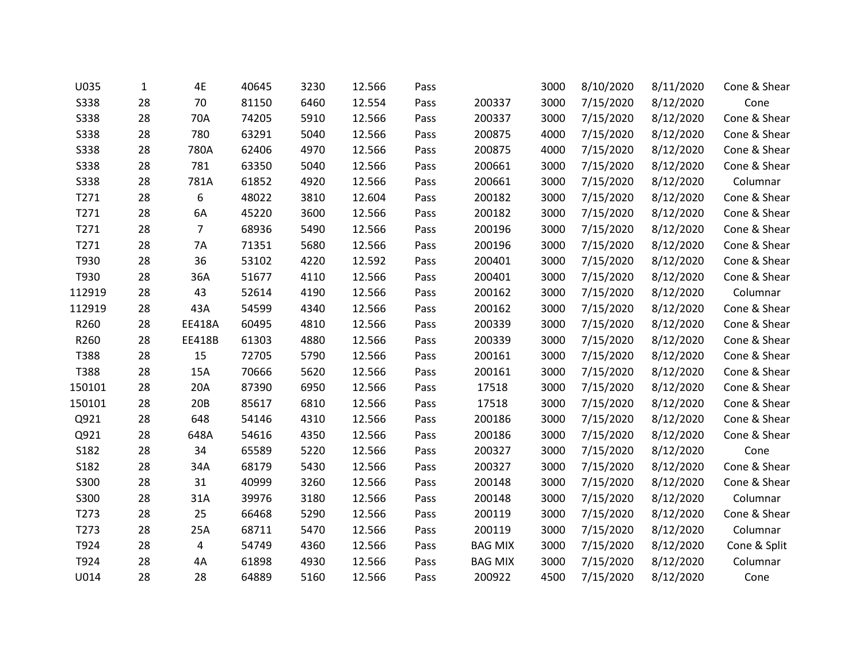| <b>S338</b><br><b>S338</b><br><b>S338</b> | 28<br>28<br>28<br>28<br>28 | 70<br>70A<br>780 | 81150<br>74205<br>63291 | 6460<br>5910 | 12.554 | Pass | 200337         | 3000 | 7/15/2020 | 8/12/2020 | Cone         |
|-------------------------------------------|----------------------------|------------------|-------------------------|--------------|--------|------|----------------|------|-----------|-----------|--------------|
|                                           |                            |                  |                         |              |        |      |                |      |           |           |              |
|                                           |                            |                  |                         |              | 12.566 | Pass | 200337         | 3000 | 7/15/2020 | 8/12/2020 | Cone & Shear |
|                                           |                            |                  |                         | 5040         | 12.566 | Pass | 200875         | 4000 | 7/15/2020 | 8/12/2020 | Cone & Shear |
| <b>S338</b>                               |                            | 780A             | 62406                   | 4970         | 12.566 | Pass | 200875         | 4000 | 7/15/2020 | 8/12/2020 | Cone & Shear |
| <b>S338</b>                               |                            | 781              | 63350                   | 5040         | 12.566 | Pass | 200661         | 3000 | 7/15/2020 | 8/12/2020 | Cone & Shear |
| <b>S338</b>                               | 28                         | 781A             | 61852                   | 4920         | 12.566 | Pass | 200661         | 3000 | 7/15/2020 | 8/12/2020 | Columnar     |
| T271                                      | 28                         | 6                | 48022                   | 3810         | 12.604 | Pass | 200182         | 3000 | 7/15/2020 | 8/12/2020 | Cone & Shear |
| T271                                      | 28                         | 6A               | 45220                   | 3600         | 12.566 | Pass | 200182         | 3000 | 7/15/2020 | 8/12/2020 | Cone & Shear |
| T271                                      | 28                         | $\overline{7}$   | 68936                   | 5490         | 12.566 | Pass | 200196         | 3000 | 7/15/2020 | 8/12/2020 | Cone & Shear |
| T271                                      | 28                         | 7A               | 71351                   | 5680         | 12.566 | Pass | 200196         | 3000 | 7/15/2020 | 8/12/2020 | Cone & Shear |
| T930                                      | 28                         | 36               | 53102                   | 4220         | 12.592 | Pass | 200401         | 3000 | 7/15/2020 | 8/12/2020 | Cone & Shear |
| T930                                      | 28                         | 36A              | 51677                   | 4110         | 12.566 | Pass | 200401         | 3000 | 7/15/2020 | 8/12/2020 | Cone & Shear |
| 112919                                    | 28                         | 43               | 52614                   | 4190         | 12.566 | Pass | 200162         | 3000 | 7/15/2020 | 8/12/2020 | Columnar     |
| 112919                                    | 28                         | 43A              | 54599                   | 4340         | 12.566 | Pass | 200162         | 3000 | 7/15/2020 | 8/12/2020 | Cone & Shear |
| R260                                      | 28                         | <b>EE418A</b>    | 60495                   | 4810         | 12.566 | Pass | 200339         | 3000 | 7/15/2020 | 8/12/2020 | Cone & Shear |
| R260                                      | 28                         | EE418B           | 61303                   | 4880         | 12.566 | Pass | 200339         | 3000 | 7/15/2020 | 8/12/2020 | Cone & Shear |
| T388                                      | 28                         | 15               | 72705                   | 5790         | 12.566 | Pass | 200161         | 3000 | 7/15/2020 | 8/12/2020 | Cone & Shear |
| T388                                      | 28                         | 15A              | 70666                   | 5620         | 12.566 | Pass | 200161         | 3000 | 7/15/2020 | 8/12/2020 | Cone & Shear |
| 150101                                    | 28                         | 20A              | 87390                   | 6950         | 12.566 | Pass | 17518          | 3000 | 7/15/2020 | 8/12/2020 | Cone & Shear |
| 150101                                    | 28                         | 20B              | 85617                   | 6810         | 12.566 | Pass | 17518          | 3000 | 7/15/2020 | 8/12/2020 | Cone & Shear |
| Q921                                      | 28                         | 648              | 54146                   | 4310         | 12.566 | Pass | 200186         | 3000 | 7/15/2020 | 8/12/2020 | Cone & Shear |
| Q921                                      | 28                         | 648A             | 54616                   | 4350         | 12.566 | Pass | 200186         | 3000 | 7/15/2020 | 8/12/2020 | Cone & Shear |
| S182                                      | 28                         | 34               | 65589                   | 5220         | 12.566 | Pass | 200327         | 3000 | 7/15/2020 | 8/12/2020 | Cone         |
| S182                                      | 28                         | 34A              | 68179                   | 5430         | 12.566 | Pass | 200327         | 3000 | 7/15/2020 | 8/12/2020 | Cone & Shear |
| S300                                      | 28                         | 31               | 40999                   | 3260         | 12.566 | Pass | 200148         | 3000 | 7/15/2020 | 8/12/2020 | Cone & Shear |
| S300                                      | 28                         | 31A              | 39976                   | 3180         | 12.566 | Pass | 200148         | 3000 | 7/15/2020 | 8/12/2020 | Columnar     |
| T273                                      | 28                         | 25               | 66468                   | 5290         | 12.566 | Pass | 200119         | 3000 | 7/15/2020 | 8/12/2020 | Cone & Shear |
| T273                                      | 28                         | 25A              | 68711                   | 5470         | 12.566 | Pass | 200119         | 3000 | 7/15/2020 | 8/12/2020 | Columnar     |
| T924                                      | 28                         | 4                | 54749                   | 4360         | 12.566 | Pass | <b>BAG MIX</b> | 3000 | 7/15/2020 | 8/12/2020 | Cone & Split |
| T924                                      | 28                         | 4A               | 61898                   | 4930         | 12.566 | Pass | <b>BAG MIX</b> | 3000 | 7/15/2020 | 8/12/2020 | Columnar     |
| U014                                      | 28                         | 28               | 64889                   | 5160         | 12.566 | Pass | 200922         | 4500 | 7/15/2020 | 8/12/2020 | Cone         |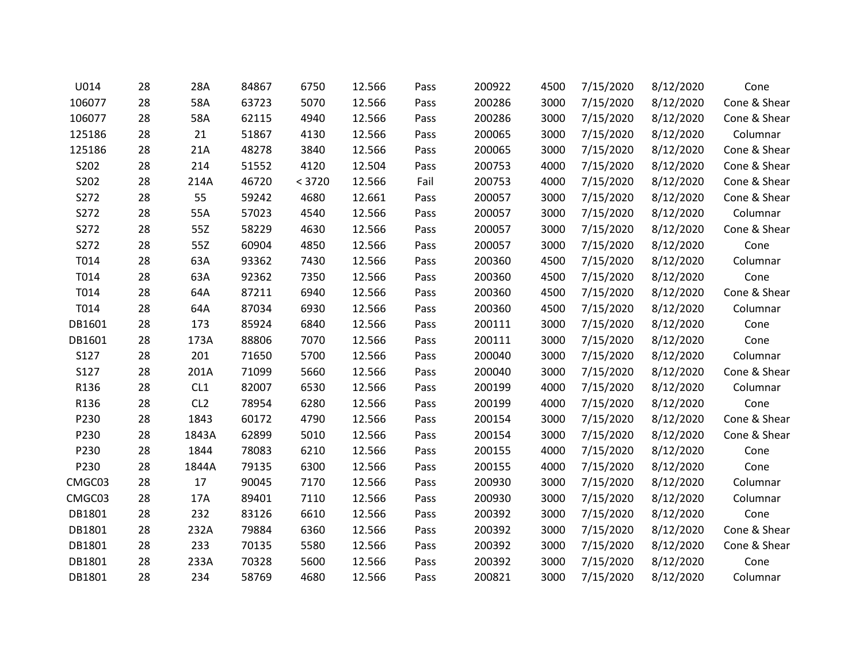| U014   | 28 | 28A             | 84867 | 6750   | 12.566 | Pass | 200922 | 4500 | 7/15/2020 | 8/12/2020 | Cone         |
|--------|----|-----------------|-------|--------|--------|------|--------|------|-----------|-----------|--------------|
| 106077 | 28 | 58A             | 63723 | 5070   | 12.566 | Pass | 200286 | 3000 | 7/15/2020 | 8/12/2020 | Cone & Shear |
| 106077 | 28 | 58A             | 62115 | 4940   | 12.566 | Pass | 200286 | 3000 | 7/15/2020 | 8/12/2020 | Cone & Shear |
| 125186 | 28 | 21              | 51867 | 4130   | 12.566 | Pass | 200065 | 3000 | 7/15/2020 | 8/12/2020 | Columnar     |
| 125186 | 28 | 21A             | 48278 | 3840   | 12.566 | Pass | 200065 | 3000 | 7/15/2020 | 8/12/2020 | Cone & Shear |
| S202   | 28 | 214             | 51552 | 4120   | 12.504 | Pass | 200753 | 4000 | 7/15/2020 | 8/12/2020 | Cone & Shear |
| S202   | 28 | 214A            | 46720 | < 3720 | 12.566 | Fail | 200753 | 4000 | 7/15/2020 | 8/12/2020 | Cone & Shear |
| S272   | 28 | 55              | 59242 | 4680   | 12.661 | Pass | 200057 | 3000 | 7/15/2020 | 8/12/2020 | Cone & Shear |
| S272   | 28 | 55A             | 57023 | 4540   | 12.566 | Pass | 200057 | 3000 | 7/15/2020 | 8/12/2020 | Columnar     |
| S272   | 28 | 55Z             | 58229 | 4630   | 12.566 | Pass | 200057 | 3000 | 7/15/2020 | 8/12/2020 | Cone & Shear |
| S272   | 28 | 55Z             | 60904 | 4850   | 12.566 | Pass | 200057 | 3000 | 7/15/2020 | 8/12/2020 | Cone         |
| T014   | 28 | 63A             | 93362 | 7430   | 12.566 | Pass | 200360 | 4500 | 7/15/2020 | 8/12/2020 | Columnar     |
| T014   | 28 | 63A             | 92362 | 7350   | 12.566 | Pass | 200360 | 4500 | 7/15/2020 | 8/12/2020 | Cone         |
| T014   | 28 | 64A             | 87211 | 6940   | 12.566 | Pass | 200360 | 4500 | 7/15/2020 | 8/12/2020 | Cone & Shear |
| T014   | 28 | 64A             | 87034 | 6930   | 12.566 | Pass | 200360 | 4500 | 7/15/2020 | 8/12/2020 | Columnar     |
| DB1601 | 28 | 173             | 85924 | 6840   | 12.566 | Pass | 200111 | 3000 | 7/15/2020 | 8/12/2020 | Cone         |
| DB1601 | 28 | 173A            | 88806 | 7070   | 12.566 | Pass | 200111 | 3000 | 7/15/2020 | 8/12/2020 | Cone         |
| S127   | 28 | 201             | 71650 | 5700   | 12.566 | Pass | 200040 | 3000 | 7/15/2020 | 8/12/2020 | Columnar     |
| S127   | 28 | 201A            | 71099 | 5660   | 12.566 | Pass | 200040 | 3000 | 7/15/2020 | 8/12/2020 | Cone & Shear |
| R136   | 28 | CL1             | 82007 | 6530   | 12.566 | Pass | 200199 | 4000 | 7/15/2020 | 8/12/2020 | Columnar     |
| R136   | 28 | CL <sub>2</sub> | 78954 | 6280   | 12.566 | Pass | 200199 | 4000 | 7/15/2020 | 8/12/2020 | Cone         |
| P230   | 28 | 1843            | 60172 | 4790   | 12.566 | Pass | 200154 | 3000 | 7/15/2020 | 8/12/2020 | Cone & Shear |
| P230   | 28 | 1843A           | 62899 | 5010   | 12.566 | Pass | 200154 | 3000 | 7/15/2020 | 8/12/2020 | Cone & Shear |
| P230   | 28 | 1844            | 78083 | 6210   | 12.566 | Pass | 200155 | 4000 | 7/15/2020 | 8/12/2020 | Cone         |
| P230   | 28 | 1844A           | 79135 | 6300   | 12.566 | Pass | 200155 | 4000 | 7/15/2020 | 8/12/2020 | Cone         |
| CMGC03 | 28 | 17              | 90045 | 7170   | 12.566 | Pass | 200930 | 3000 | 7/15/2020 | 8/12/2020 | Columnar     |
| CMGC03 | 28 | 17A             | 89401 | 7110   | 12.566 | Pass | 200930 | 3000 | 7/15/2020 | 8/12/2020 | Columnar     |
| DB1801 | 28 | 232             | 83126 | 6610   | 12.566 | Pass | 200392 | 3000 | 7/15/2020 | 8/12/2020 | Cone         |
| DB1801 | 28 | 232A            | 79884 | 6360   | 12.566 | Pass | 200392 | 3000 | 7/15/2020 | 8/12/2020 | Cone & Shear |
| DB1801 | 28 | 233             | 70135 | 5580   | 12.566 | Pass | 200392 | 3000 | 7/15/2020 | 8/12/2020 | Cone & Shear |
| DB1801 | 28 | 233A            | 70328 | 5600   | 12.566 | Pass | 200392 | 3000 | 7/15/2020 | 8/12/2020 | Cone         |
| DB1801 | 28 | 234             | 58769 | 4680   | 12.566 | Pass | 200821 | 3000 | 7/15/2020 | 8/12/2020 | Columnar     |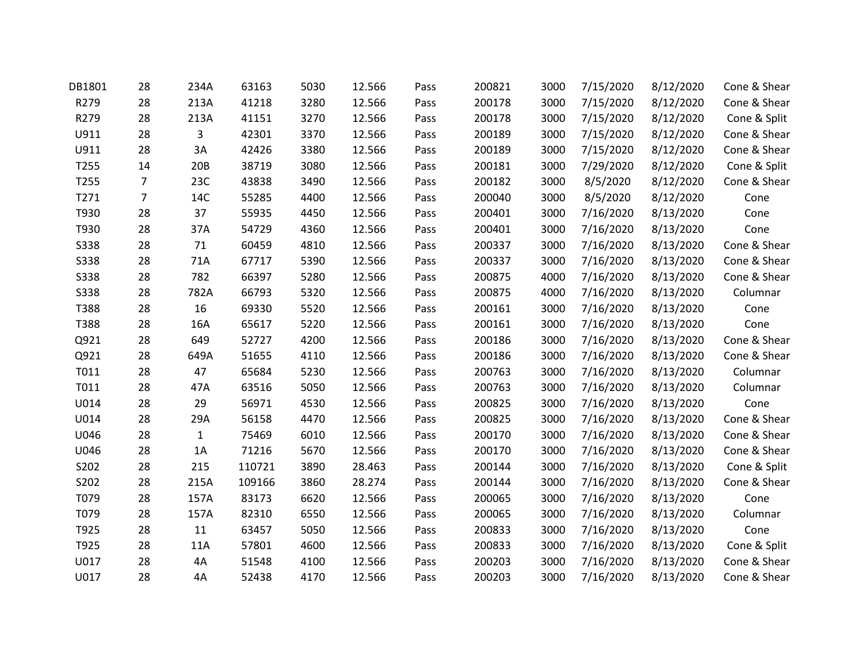| DB1801      | 28 | 234A         | 63163  | 5030 | 12.566 | Pass | 200821 | 3000 | 7/15/2020 | 8/12/2020 | Cone & Shear |
|-------------|----|--------------|--------|------|--------|------|--------|------|-----------|-----------|--------------|
| R279        | 28 | 213A         | 41218  | 3280 | 12.566 | Pass | 200178 | 3000 | 7/15/2020 | 8/12/2020 | Cone & Shear |
| R279        | 28 | 213A         | 41151  | 3270 | 12.566 | Pass | 200178 | 3000 | 7/15/2020 | 8/12/2020 | Cone & Split |
| U911        | 28 | 3            | 42301  | 3370 | 12.566 | Pass | 200189 | 3000 | 7/15/2020 | 8/12/2020 | Cone & Shear |
| U911        | 28 | 3A           | 42426  | 3380 | 12.566 | Pass | 200189 | 3000 | 7/15/2020 | 8/12/2020 | Cone & Shear |
| T255        | 14 | 20B          | 38719  | 3080 | 12.566 | Pass | 200181 | 3000 | 7/29/2020 | 8/12/2020 | Cone & Split |
| T255        | 7  | 23C          | 43838  | 3490 | 12.566 | Pass | 200182 | 3000 | 8/5/2020  | 8/12/2020 | Cone & Shear |
| T271        | 7  | 14C          | 55285  | 4400 | 12.566 | Pass | 200040 | 3000 | 8/5/2020  | 8/12/2020 | Cone         |
| T930        | 28 | 37           | 55935  | 4450 | 12.566 | Pass | 200401 | 3000 | 7/16/2020 | 8/13/2020 | Cone         |
| T930        | 28 | 37A          | 54729  | 4360 | 12.566 | Pass | 200401 | 3000 | 7/16/2020 | 8/13/2020 | Cone         |
| <b>S338</b> | 28 | 71           | 60459  | 4810 | 12.566 | Pass | 200337 | 3000 | 7/16/2020 | 8/13/2020 | Cone & Shear |
| <b>S338</b> | 28 | 71A          | 67717  | 5390 | 12.566 | Pass | 200337 | 3000 | 7/16/2020 | 8/13/2020 | Cone & Shear |
| S338        | 28 | 782          | 66397  | 5280 | 12.566 | Pass | 200875 | 4000 | 7/16/2020 | 8/13/2020 | Cone & Shear |
| <b>S338</b> | 28 | 782A         | 66793  | 5320 | 12.566 | Pass | 200875 | 4000 | 7/16/2020 | 8/13/2020 | Columnar     |
| T388        | 28 | 16           | 69330  | 5520 | 12.566 | Pass | 200161 | 3000 | 7/16/2020 | 8/13/2020 | Cone         |
| T388        | 28 | 16A          | 65617  | 5220 | 12.566 | Pass | 200161 | 3000 | 7/16/2020 | 8/13/2020 | Cone         |
| Q921        | 28 | 649          | 52727  | 4200 | 12.566 | Pass | 200186 | 3000 | 7/16/2020 | 8/13/2020 | Cone & Shear |
| Q921        | 28 | 649A         | 51655  | 4110 | 12.566 | Pass | 200186 | 3000 | 7/16/2020 | 8/13/2020 | Cone & Shear |
| T011        | 28 | 47           | 65684  | 5230 | 12.566 | Pass | 200763 | 3000 | 7/16/2020 | 8/13/2020 | Columnar     |
| T011        | 28 | 47A          | 63516  | 5050 | 12.566 | Pass | 200763 | 3000 | 7/16/2020 | 8/13/2020 | Columnar     |
| U014        | 28 | 29           | 56971  | 4530 | 12.566 | Pass | 200825 | 3000 | 7/16/2020 | 8/13/2020 | Cone         |
| U014        | 28 | 29A          | 56158  | 4470 | 12.566 | Pass | 200825 | 3000 | 7/16/2020 | 8/13/2020 | Cone & Shear |
| U046        | 28 | $\mathbf{1}$ | 75469  | 6010 | 12.566 | Pass | 200170 | 3000 | 7/16/2020 | 8/13/2020 | Cone & Shear |
| U046        | 28 | 1A           | 71216  | 5670 | 12.566 | Pass | 200170 | 3000 | 7/16/2020 | 8/13/2020 | Cone & Shear |
| S202        | 28 | 215          | 110721 | 3890 | 28.463 | Pass | 200144 | 3000 | 7/16/2020 | 8/13/2020 | Cone & Split |
| S202        | 28 | 215A         | 109166 | 3860 | 28.274 | Pass | 200144 | 3000 | 7/16/2020 | 8/13/2020 | Cone & Shear |
| T079        | 28 | 157A         | 83173  | 6620 | 12.566 | Pass | 200065 | 3000 | 7/16/2020 | 8/13/2020 | Cone         |
| T079        | 28 | 157A         | 82310  | 6550 | 12.566 | Pass | 200065 | 3000 | 7/16/2020 | 8/13/2020 | Columnar     |
| T925        | 28 | $11\,$       | 63457  | 5050 | 12.566 | Pass | 200833 | 3000 | 7/16/2020 | 8/13/2020 | Cone         |
| T925        | 28 | 11A          | 57801  | 4600 | 12.566 | Pass | 200833 | 3000 | 7/16/2020 | 8/13/2020 | Cone & Split |
| U017        | 28 | 4A           | 51548  | 4100 | 12.566 | Pass | 200203 | 3000 | 7/16/2020 | 8/13/2020 | Cone & Shear |
| U017        | 28 | 4A           | 52438  | 4170 | 12.566 | Pass | 200203 | 3000 | 7/16/2020 | 8/13/2020 | Cone & Shear |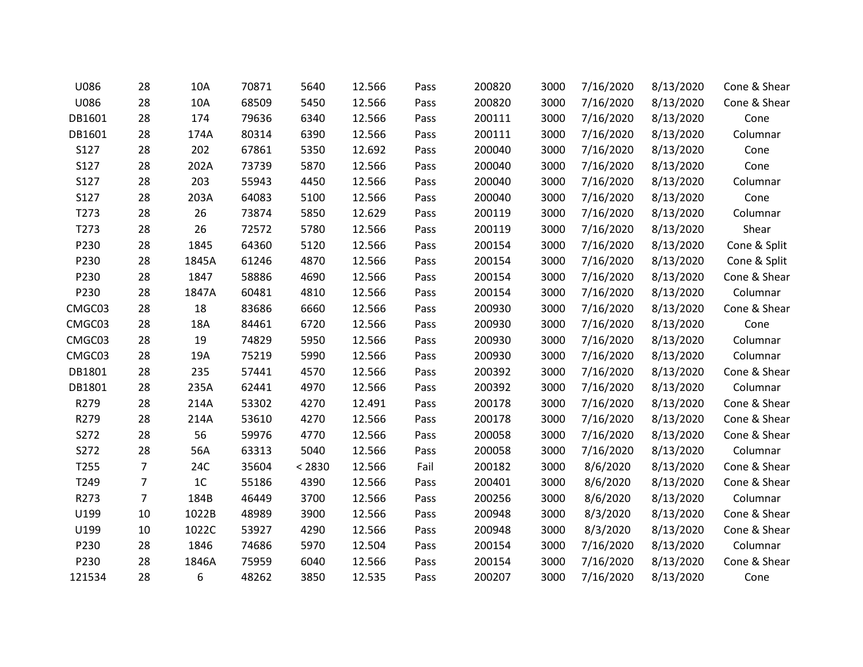| U086   | 28             | 10A   | 70871 | 5640   | 12.566 | Pass | 200820 | 3000 | 7/16/2020 | 8/13/2020 | Cone & Shear |
|--------|----------------|-------|-------|--------|--------|------|--------|------|-----------|-----------|--------------|
| U086   | 28             | 10A   | 68509 | 5450   | 12.566 | Pass | 200820 | 3000 | 7/16/2020 | 8/13/2020 | Cone & Shear |
| DB1601 | 28             | 174   | 79636 | 6340   | 12.566 | Pass | 200111 | 3000 | 7/16/2020 | 8/13/2020 | Cone         |
| DB1601 | 28             | 174A  | 80314 | 6390   | 12.566 | Pass | 200111 | 3000 | 7/16/2020 | 8/13/2020 | Columnar     |
| S127   | 28             | 202   | 67861 | 5350   | 12.692 | Pass | 200040 | 3000 | 7/16/2020 | 8/13/2020 | Cone         |
| S127   | 28             | 202A  | 73739 | 5870   | 12.566 | Pass | 200040 | 3000 | 7/16/2020 | 8/13/2020 | Cone         |
| S127   | 28             | 203   | 55943 | 4450   | 12.566 | Pass | 200040 | 3000 | 7/16/2020 | 8/13/2020 | Columnar     |
| S127   | 28             | 203A  | 64083 | 5100   | 12.566 | Pass | 200040 | 3000 | 7/16/2020 | 8/13/2020 | Cone         |
| T273   | 28             | 26    | 73874 | 5850   | 12.629 | Pass | 200119 | 3000 | 7/16/2020 | 8/13/2020 | Columnar     |
| T273   | 28             | 26    | 72572 | 5780   | 12.566 | Pass | 200119 | 3000 | 7/16/2020 | 8/13/2020 | Shear        |
| P230   | 28             | 1845  | 64360 | 5120   | 12.566 | Pass | 200154 | 3000 | 7/16/2020 | 8/13/2020 | Cone & Split |
| P230   | 28             | 1845A | 61246 | 4870   | 12.566 | Pass | 200154 | 3000 | 7/16/2020 | 8/13/2020 | Cone & Split |
| P230   | 28             | 1847  | 58886 | 4690   | 12.566 | Pass | 200154 | 3000 | 7/16/2020 | 8/13/2020 | Cone & Shear |
| P230   | 28             | 1847A | 60481 | 4810   | 12.566 | Pass | 200154 | 3000 | 7/16/2020 | 8/13/2020 | Columnar     |
| CMGC03 | 28             | 18    | 83686 | 6660   | 12.566 | Pass | 200930 | 3000 | 7/16/2020 | 8/13/2020 | Cone & Shear |
| CMGC03 | 28             | 18A   | 84461 | 6720   | 12.566 | Pass | 200930 | 3000 | 7/16/2020 | 8/13/2020 | Cone         |
| CMGC03 | 28             | 19    | 74829 | 5950   | 12.566 | Pass | 200930 | 3000 | 7/16/2020 | 8/13/2020 | Columnar     |
| CMGC03 | 28             | 19A   | 75219 | 5990   | 12.566 | Pass | 200930 | 3000 | 7/16/2020 | 8/13/2020 | Columnar     |
| DB1801 | 28             | 235   | 57441 | 4570   | 12.566 | Pass | 200392 | 3000 | 7/16/2020 | 8/13/2020 | Cone & Shear |
| DB1801 | 28             | 235A  | 62441 | 4970   | 12.566 | Pass | 200392 | 3000 | 7/16/2020 | 8/13/2020 | Columnar     |
| R279   | 28             | 214A  | 53302 | 4270   | 12.491 | Pass | 200178 | 3000 | 7/16/2020 | 8/13/2020 | Cone & Shear |
| R279   | 28             | 214A  | 53610 | 4270   | 12.566 | Pass | 200178 | 3000 | 7/16/2020 | 8/13/2020 | Cone & Shear |
| S272   | 28             | 56    | 59976 | 4770   | 12.566 | Pass | 200058 | 3000 | 7/16/2020 | 8/13/2020 | Cone & Shear |
| S272   | 28             | 56A   | 63313 | 5040   | 12.566 | Pass | 200058 | 3000 | 7/16/2020 | 8/13/2020 | Columnar     |
| T255   | $\overline{7}$ | 24C   | 35604 | < 2830 | 12.566 | Fail | 200182 | 3000 | 8/6/2020  | 8/13/2020 | Cone & Shear |
| T249   | 7              | $1C$  | 55186 | 4390   | 12.566 | Pass | 200401 | 3000 | 8/6/2020  | 8/13/2020 | Cone & Shear |
| R273   | $\overline{7}$ | 184B  | 46449 | 3700   | 12.566 | Pass | 200256 | 3000 | 8/6/2020  | 8/13/2020 | Columnar     |
| U199   | 10             | 1022B | 48989 | 3900   | 12.566 | Pass | 200948 | 3000 | 8/3/2020  | 8/13/2020 | Cone & Shear |
| U199   | 10             | 1022C | 53927 | 4290   | 12.566 | Pass | 200948 | 3000 | 8/3/2020  | 8/13/2020 | Cone & Shear |
| P230   | 28             | 1846  | 74686 | 5970   | 12.504 | Pass | 200154 | 3000 | 7/16/2020 | 8/13/2020 | Columnar     |
| P230   | 28             | 1846A | 75959 | 6040   | 12.566 | Pass | 200154 | 3000 | 7/16/2020 | 8/13/2020 | Cone & Shear |
| 121534 | 28             | 6     | 48262 | 3850   | 12.535 | Pass | 200207 | 3000 | 7/16/2020 | 8/13/2020 | Cone         |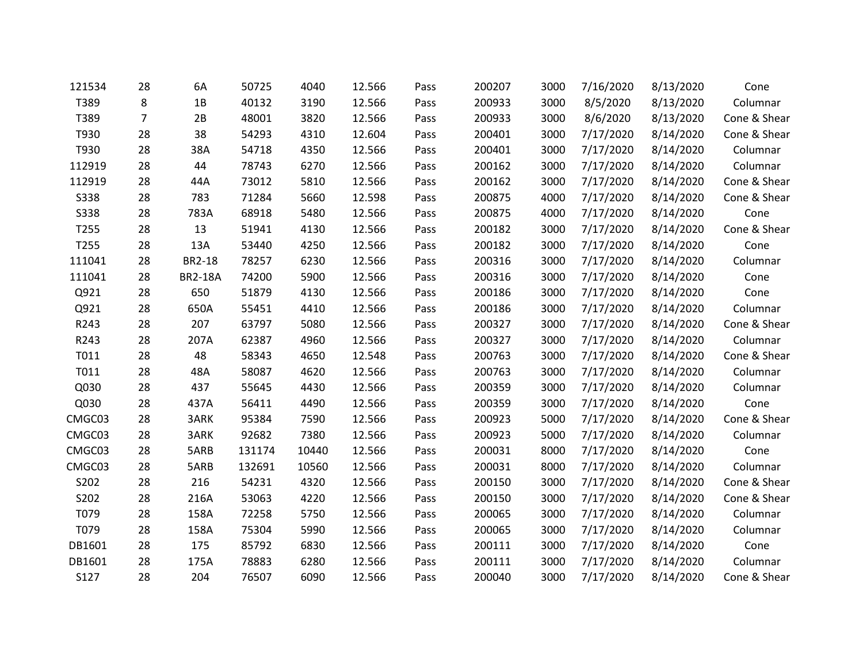| 121534      | 28 | 6A             | 50725  | 4040  | 12.566 | Pass | 200207 | 3000 | 7/16/2020 | 8/13/2020 | Cone         |
|-------------|----|----------------|--------|-------|--------|------|--------|------|-----------|-----------|--------------|
| T389        | 8  | 1B             | 40132  | 3190  | 12.566 | Pass | 200933 | 3000 | 8/5/2020  | 8/13/2020 | Columnar     |
| T389        | 7  | 2B             | 48001  | 3820  | 12.566 | Pass | 200933 | 3000 | 8/6/2020  | 8/13/2020 | Cone & Shear |
| T930        | 28 | 38             | 54293  | 4310  | 12.604 | Pass | 200401 | 3000 | 7/17/2020 | 8/14/2020 | Cone & Shear |
| T930        | 28 | 38A            | 54718  | 4350  | 12.566 | Pass | 200401 | 3000 | 7/17/2020 | 8/14/2020 | Columnar     |
| 112919      | 28 | 44             | 78743  | 6270  | 12.566 | Pass | 200162 | 3000 | 7/17/2020 | 8/14/2020 | Columnar     |
| 112919      | 28 | 44A            | 73012  | 5810  | 12.566 | Pass | 200162 | 3000 | 7/17/2020 | 8/14/2020 | Cone & Shear |
| <b>S338</b> | 28 | 783            | 71284  | 5660  | 12.598 | Pass | 200875 | 4000 | 7/17/2020 | 8/14/2020 | Cone & Shear |
| <b>S338</b> | 28 | 783A           | 68918  | 5480  | 12.566 | Pass | 200875 | 4000 | 7/17/2020 | 8/14/2020 | Cone         |
| T255        | 28 | 13             | 51941  | 4130  | 12.566 | Pass | 200182 | 3000 | 7/17/2020 | 8/14/2020 | Cone & Shear |
| T255        | 28 | 13A            | 53440  | 4250  | 12.566 | Pass | 200182 | 3000 | 7/17/2020 | 8/14/2020 | Cone         |
| 111041      | 28 | BR2-18         | 78257  | 6230  | 12.566 | Pass | 200316 | 3000 | 7/17/2020 | 8/14/2020 | Columnar     |
| 111041      | 28 | <b>BR2-18A</b> | 74200  | 5900  | 12.566 | Pass | 200316 | 3000 | 7/17/2020 | 8/14/2020 | Cone         |
| Q921        | 28 | 650            | 51879  | 4130  | 12.566 | Pass | 200186 | 3000 | 7/17/2020 | 8/14/2020 | Cone         |
| Q921        | 28 | 650A           | 55451  | 4410  | 12.566 | Pass | 200186 | 3000 | 7/17/2020 | 8/14/2020 | Columnar     |
| R243        | 28 | 207            | 63797  | 5080  | 12.566 | Pass | 200327 | 3000 | 7/17/2020 | 8/14/2020 | Cone & Shear |
| R243        | 28 | 207A           | 62387  | 4960  | 12.566 | Pass | 200327 | 3000 | 7/17/2020 | 8/14/2020 | Columnar     |
| T011        | 28 | 48             | 58343  | 4650  | 12.548 | Pass | 200763 | 3000 | 7/17/2020 | 8/14/2020 | Cone & Shear |
| T011        | 28 | 48A            | 58087  | 4620  | 12.566 | Pass | 200763 | 3000 | 7/17/2020 | 8/14/2020 | Columnar     |
| Q030        | 28 | 437            | 55645  | 4430  | 12.566 | Pass | 200359 | 3000 | 7/17/2020 | 8/14/2020 | Columnar     |
| Q030        | 28 | 437A           | 56411  | 4490  | 12.566 | Pass | 200359 | 3000 | 7/17/2020 | 8/14/2020 | Cone         |
| CMGC03      | 28 | 3ARK           | 95384  | 7590  | 12.566 | Pass | 200923 | 5000 | 7/17/2020 | 8/14/2020 | Cone & Shear |
| CMGC03      | 28 | 3ARK           | 92682  | 7380  | 12.566 | Pass | 200923 | 5000 | 7/17/2020 | 8/14/2020 | Columnar     |
| CMGC03      | 28 | 5ARB           | 131174 | 10440 | 12.566 | Pass | 200031 | 8000 | 7/17/2020 | 8/14/2020 | Cone         |
| CMGC03      | 28 | 5ARB           | 132691 | 10560 | 12.566 | Pass | 200031 | 8000 | 7/17/2020 | 8/14/2020 | Columnar     |
| S202        | 28 | 216            | 54231  | 4320  | 12.566 | Pass | 200150 | 3000 | 7/17/2020 | 8/14/2020 | Cone & Shear |
| S202        | 28 | 216A           | 53063  | 4220  | 12.566 | Pass | 200150 | 3000 | 7/17/2020 | 8/14/2020 | Cone & Shear |
| T079        | 28 | 158A           | 72258  | 5750  | 12.566 | Pass | 200065 | 3000 | 7/17/2020 | 8/14/2020 | Columnar     |
| T079        | 28 | 158A           | 75304  | 5990  | 12.566 | Pass | 200065 | 3000 | 7/17/2020 | 8/14/2020 | Columnar     |
| DB1601      | 28 | 175            | 85792  | 6830  | 12.566 | Pass | 200111 | 3000 | 7/17/2020 | 8/14/2020 | Cone         |
| DB1601      | 28 | 175A           | 78883  | 6280  | 12.566 | Pass | 200111 | 3000 | 7/17/2020 | 8/14/2020 | Columnar     |
| S127        | 28 | 204            | 76507  | 6090  | 12.566 | Pass | 200040 | 3000 | 7/17/2020 | 8/14/2020 | Cone & Shear |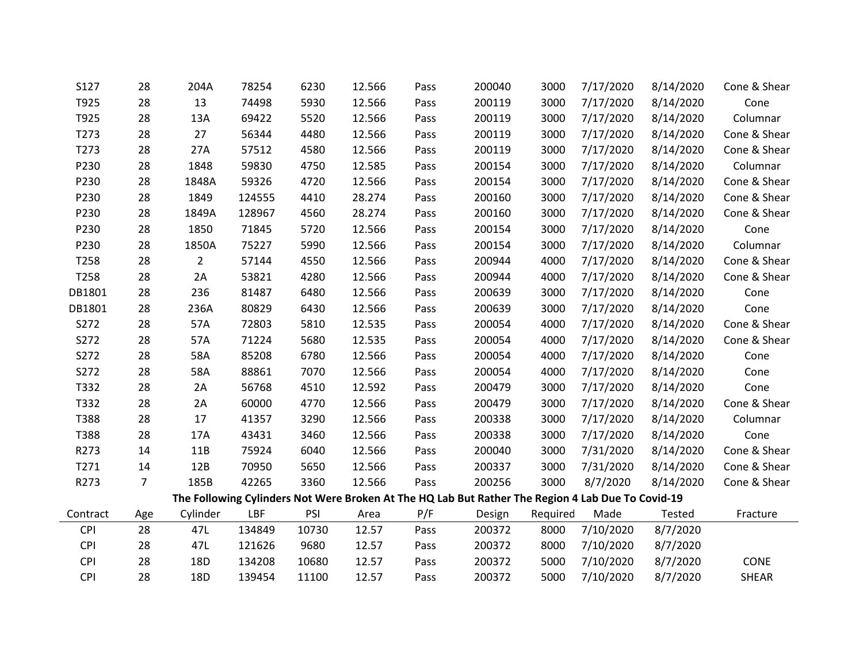| S127       | 28             | 204A           | 78254  | 6230  | 12.566 | Pass | 200040                                                                                            | 3000     | 7/17/2020 | 8/14/2020 | Cone & Shear |
|------------|----------------|----------------|--------|-------|--------|------|---------------------------------------------------------------------------------------------------|----------|-----------|-----------|--------------|
| T925       | 28             | 13             | 74498  | 5930  | 12.566 | Pass | 200119                                                                                            | 3000     | 7/17/2020 | 8/14/2020 | Cone         |
| T925       | 28             | 13A            | 69422  | 5520  | 12.566 | Pass | 200119                                                                                            | 3000     | 7/17/2020 | 8/14/2020 | Columnar     |
| T273       | 28             | 27             | 56344  | 4480  | 12.566 | Pass | 200119                                                                                            | 3000     | 7/17/2020 | 8/14/2020 | Cone & Shear |
| T273       | 28             | 27A            | 57512  | 4580  | 12.566 | Pass | 200119                                                                                            | 3000     | 7/17/2020 | 8/14/2020 | Cone & Shear |
| P230       | 28             | 1848           | 59830  | 4750  | 12.585 | Pass | 200154                                                                                            | 3000     | 7/17/2020 | 8/14/2020 | Columnar     |
| P230       | 28             | 1848A          | 59326  | 4720  | 12.566 | Pass | 200154                                                                                            | 3000     | 7/17/2020 | 8/14/2020 | Cone & Shear |
| P230       | 28             | 1849           | 124555 | 4410  | 28.274 | Pass | 200160                                                                                            | 3000     | 7/17/2020 | 8/14/2020 | Cone & Shear |
| P230       | 28             | 1849A          | 128967 | 4560  | 28.274 | Pass | 200160                                                                                            | 3000     | 7/17/2020 | 8/14/2020 | Cone & Shear |
| P230       | 28             | 1850           | 71845  | 5720  | 12.566 | Pass | 200154                                                                                            | 3000     | 7/17/2020 | 8/14/2020 | Cone         |
| P230       | 28             | 1850A          | 75227  | 5990  | 12.566 | Pass | 200154                                                                                            | 3000     | 7/17/2020 | 8/14/2020 | Columnar     |
| T258       | 28             | $\overline{2}$ | 57144  | 4550  | 12.566 | Pass | 200944                                                                                            | 4000     | 7/17/2020 | 8/14/2020 | Cone & Shear |
| T258       | 28             | 2A             | 53821  | 4280  | 12.566 | Pass | 200944                                                                                            | 4000     | 7/17/2020 | 8/14/2020 | Cone & Shear |
| DB1801     | 28             | 236            | 81487  | 6480  | 12.566 | Pass | 200639                                                                                            | 3000     | 7/17/2020 | 8/14/2020 | Cone         |
| DB1801     | 28             | 236A           | 80829  | 6430  | 12.566 | Pass | 200639                                                                                            | 3000     | 7/17/2020 | 8/14/2020 | Cone         |
| S272       | 28             | 57A            | 72803  | 5810  | 12.535 | Pass | 200054                                                                                            | 4000     | 7/17/2020 | 8/14/2020 | Cone & Shear |
| S272       | 28             | 57A            | 71224  | 5680  | 12.535 | Pass | 200054                                                                                            | 4000     | 7/17/2020 | 8/14/2020 | Cone & Shear |
| S272       | 28             | 58A            | 85208  | 6780  | 12.566 | Pass | 200054                                                                                            | 4000     | 7/17/2020 | 8/14/2020 | Cone         |
| S272       | 28             | 58A            | 88861  | 7070  | 12.566 | Pass | 200054                                                                                            | 4000     | 7/17/2020 | 8/14/2020 | Cone         |
| T332       | 28             | 2A             | 56768  | 4510  | 12.592 | Pass | 200479                                                                                            | 3000     | 7/17/2020 | 8/14/2020 | Cone         |
| T332       | 28             | 2A             | 60000  | 4770  | 12.566 | Pass | 200479                                                                                            | 3000     | 7/17/2020 | 8/14/2020 | Cone & Shear |
| T388       | 28             | 17             | 41357  | 3290  | 12.566 | Pass | 200338                                                                                            | 3000     | 7/17/2020 | 8/14/2020 | Columnar     |
| T388       | 28             | 17A            | 43431  | 3460  | 12.566 | Pass | 200338                                                                                            | 3000     | 7/17/2020 | 8/14/2020 | Cone         |
| R273       | 14             | 11B            | 75924  | 6040  | 12.566 | Pass | 200040                                                                                            | 3000     | 7/31/2020 | 8/14/2020 | Cone & Shear |
| T271       | 14             | 12B            | 70950  | 5650  | 12.566 | Pass | 200337                                                                                            | 3000     | 7/31/2020 | 8/14/2020 | Cone & Shear |
| R273       | $\overline{7}$ | 185B           | 42265  | 3360  | 12.566 | Pass | 200256                                                                                            | 3000     | 8/7/2020  | 8/14/2020 | Cone & Shear |
|            |                |                |        |       |        |      | The Following Cylinders Not Were Broken At The HQ Lab But Rather The Region 4 Lab Due To Covid-19 |          |           |           |              |
| Contract   | Age            | Cylinder       | LBF    | PSI   | Area   | P/F  | Design                                                                                            | Required | Made      | Tested    | Fracture     |
| <b>CPI</b> | 28             | 47L            | 134849 | 10730 | 12.57  | Pass | 200372                                                                                            | 8000     | 7/10/2020 | 8/7/2020  |              |
| <b>CPI</b> | 28             | 47L            | 121626 | 9680  | 12.57  | Pass | 200372                                                                                            | 8000     | 7/10/2020 | 8/7/2020  |              |
| <b>CPI</b> | 28             | 18D            | 134208 | 10680 | 12.57  | Pass | 200372                                                                                            | 5000     | 7/10/2020 | 8/7/2020  | CONE         |
| <b>CPI</b> | 28             | 18D            | 139454 | 11100 | 12.57  | Pass | 200372                                                                                            | 5000     | 7/10/2020 | 8/7/2020  | <b>SHEAR</b> |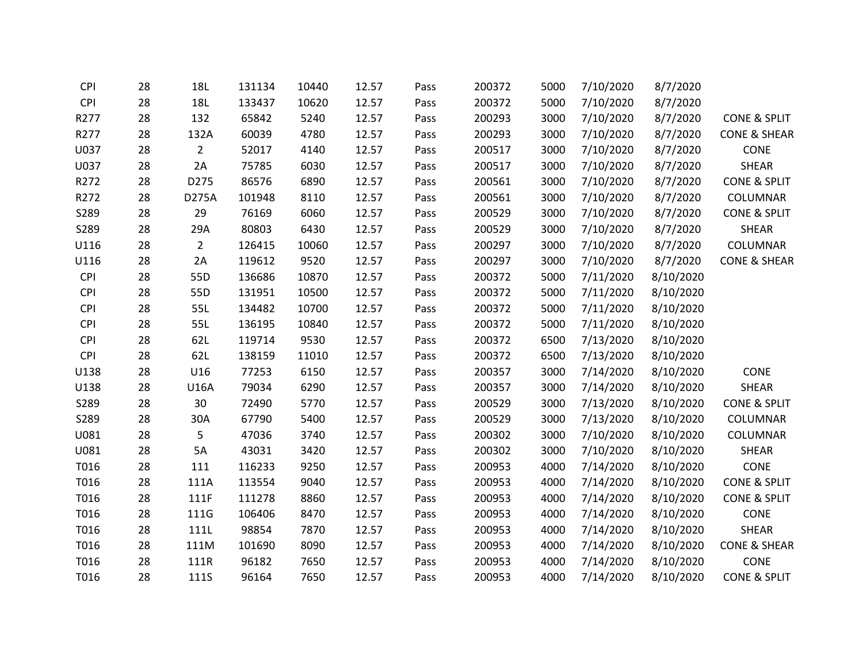| <b>CPI</b> | 28 | <b>18L</b>     | 131134 | 10440 | 12.57 | Pass | 200372 | 5000 | 7/10/2020 | 8/7/2020  |                         |
|------------|----|----------------|--------|-------|-------|------|--------|------|-----------|-----------|-------------------------|
| <b>CPI</b> | 28 | <b>18L</b>     | 133437 | 10620 | 12.57 | Pass | 200372 | 5000 | 7/10/2020 | 8/7/2020  |                         |
| R277       | 28 | 132            | 65842  | 5240  | 12.57 | Pass | 200293 | 3000 | 7/10/2020 | 8/7/2020  | <b>CONE &amp; SPLIT</b> |
| R277       | 28 | 132A           | 60039  | 4780  | 12.57 | Pass | 200293 | 3000 | 7/10/2020 | 8/7/2020  | <b>CONE &amp; SHEAR</b> |
| U037       | 28 | $\overline{2}$ | 52017  | 4140  | 12.57 | Pass | 200517 | 3000 | 7/10/2020 | 8/7/2020  | CONE                    |
| U037       | 28 | 2A             | 75785  | 6030  | 12.57 | Pass | 200517 | 3000 | 7/10/2020 | 8/7/2020  | <b>SHEAR</b>            |
| R272       | 28 | D275           | 86576  | 6890  | 12.57 | Pass | 200561 | 3000 | 7/10/2020 | 8/7/2020  | <b>CONE &amp; SPLIT</b> |
| R272       | 28 | D275A          | 101948 | 8110  | 12.57 | Pass | 200561 | 3000 | 7/10/2020 | 8/7/2020  | COLUMNAR                |
| S289       | 28 | 29             | 76169  | 6060  | 12.57 | Pass | 200529 | 3000 | 7/10/2020 | 8/7/2020  | <b>CONE &amp; SPLIT</b> |
| S289       | 28 | 29A            | 80803  | 6430  | 12.57 | Pass | 200529 | 3000 | 7/10/2020 | 8/7/2020  | SHEAR                   |
| U116       | 28 | $\overline{2}$ | 126415 | 10060 | 12.57 | Pass | 200297 | 3000 | 7/10/2020 | 8/7/2020  | COLUMNAR                |
| U116       | 28 | 2A             | 119612 | 9520  | 12.57 | Pass | 200297 | 3000 | 7/10/2020 | 8/7/2020  | <b>CONE &amp; SHEAR</b> |
| <b>CPI</b> | 28 | 55D            | 136686 | 10870 | 12.57 | Pass | 200372 | 5000 | 7/11/2020 | 8/10/2020 |                         |
| <b>CPI</b> | 28 | 55D            | 131951 | 10500 | 12.57 | Pass | 200372 | 5000 | 7/11/2020 | 8/10/2020 |                         |
| <b>CPI</b> | 28 | 55L            | 134482 | 10700 | 12.57 | Pass | 200372 | 5000 | 7/11/2020 | 8/10/2020 |                         |
| <b>CPI</b> | 28 | 55L            | 136195 | 10840 | 12.57 | Pass | 200372 | 5000 | 7/11/2020 | 8/10/2020 |                         |
| <b>CPI</b> | 28 | 62L            | 119714 | 9530  | 12.57 | Pass | 200372 | 6500 | 7/13/2020 | 8/10/2020 |                         |
| <b>CPI</b> | 28 | 62L            | 138159 | 11010 | 12.57 | Pass | 200372 | 6500 | 7/13/2020 | 8/10/2020 |                         |
| U138       | 28 | U16            | 77253  | 6150  | 12.57 | Pass | 200357 | 3000 | 7/14/2020 | 8/10/2020 | CONE                    |
| U138       | 28 | U16A           | 79034  | 6290  | 12.57 | Pass | 200357 | 3000 | 7/14/2020 | 8/10/2020 | SHEAR                   |
| S289       | 28 | 30             | 72490  | 5770  | 12.57 | Pass | 200529 | 3000 | 7/13/2020 | 8/10/2020 | <b>CONE &amp; SPLIT</b> |
| S289       | 28 | 30A            | 67790  | 5400  | 12.57 | Pass | 200529 | 3000 | 7/13/2020 | 8/10/2020 | COLUMNAR                |
| U081       | 28 | 5              | 47036  | 3740  | 12.57 | Pass | 200302 | 3000 | 7/10/2020 | 8/10/2020 | COLUMNAR                |
| U081       | 28 | 5A             | 43031  | 3420  | 12.57 | Pass | 200302 | 3000 | 7/10/2020 | 8/10/2020 | <b>SHEAR</b>            |
| T016       | 28 | 111            | 116233 | 9250  | 12.57 | Pass | 200953 | 4000 | 7/14/2020 | 8/10/2020 | CONE                    |
| T016       | 28 | 111A           | 113554 | 9040  | 12.57 | Pass | 200953 | 4000 | 7/14/2020 | 8/10/2020 | <b>CONE &amp; SPLIT</b> |
| T016       | 28 | 111F           | 111278 | 8860  | 12.57 | Pass | 200953 | 4000 | 7/14/2020 | 8/10/2020 | <b>CONE &amp; SPLIT</b> |
| T016       | 28 | 111G           | 106406 | 8470  | 12.57 | Pass | 200953 | 4000 | 7/14/2020 | 8/10/2020 | CONE                    |
| T016       | 28 | 111L           | 98854  | 7870  | 12.57 | Pass | 200953 | 4000 | 7/14/2020 | 8/10/2020 | <b>SHEAR</b>            |
| T016       | 28 | 111M           | 101690 | 8090  | 12.57 | Pass | 200953 | 4000 | 7/14/2020 | 8/10/2020 | <b>CONE &amp; SHEAR</b> |
| T016       | 28 | 111R           | 96182  | 7650  | 12.57 | Pass | 200953 | 4000 | 7/14/2020 | 8/10/2020 | <b>CONE</b>             |
| T016       | 28 | <b>111S</b>    | 96164  | 7650  | 12.57 | Pass | 200953 | 4000 | 7/14/2020 | 8/10/2020 | <b>CONE &amp; SPLIT</b> |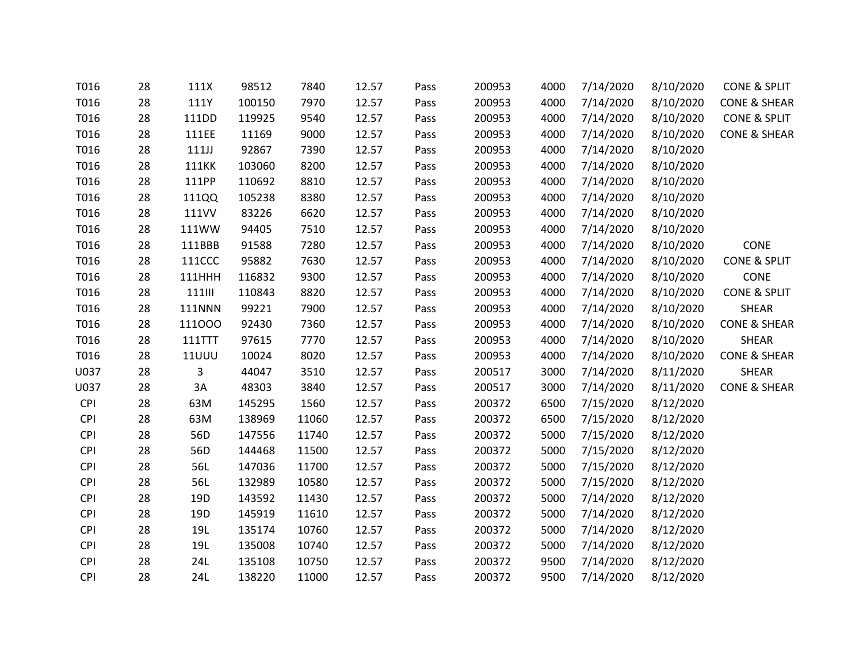| T016       | 28 | 111X          | 98512  | 7840  | 12.57 | Pass | 200953 | 4000 | 7/14/2020 | 8/10/2020 | CONE & SPLIT            |
|------------|----|---------------|--------|-------|-------|------|--------|------|-----------|-----------|-------------------------|
| T016       | 28 | 111Y          | 100150 | 7970  | 12.57 | Pass | 200953 | 4000 | 7/14/2020 | 8/10/2020 | <b>CONE &amp; SHEAR</b> |
| T016       | 28 | 111DD         | 119925 | 9540  | 12.57 | Pass | 200953 | 4000 | 7/14/2020 | 8/10/2020 | CONE & SPLIT            |
| T016       | 28 | 111EE         | 11169  | 9000  | 12.57 | Pass | 200953 | 4000 | 7/14/2020 | 8/10/2020 | <b>CONE &amp; SHEAR</b> |
| T016       | 28 | 111J          | 92867  | 7390  | 12.57 | Pass | 200953 | 4000 | 7/14/2020 | 8/10/2020 |                         |
| T016       | 28 | <b>111KK</b>  | 103060 | 8200  | 12.57 | Pass | 200953 | 4000 | 7/14/2020 | 8/10/2020 |                         |
| T016       | 28 | 111PP         | 110692 | 8810  | 12.57 | Pass | 200953 | 4000 | 7/14/2020 | 8/10/2020 |                         |
| T016       | 28 | 111QQ         | 105238 | 8380  | 12.57 | Pass | 200953 | 4000 | 7/14/2020 | 8/10/2020 |                         |
| T016       | 28 | 111VV         | 83226  | 6620  | 12.57 | Pass | 200953 | 4000 | 7/14/2020 | 8/10/2020 |                         |
| T016       | 28 | 111WW         | 94405  | 7510  | 12.57 | Pass | 200953 | 4000 | 7/14/2020 | 8/10/2020 |                         |
| T016       | 28 | 111BBB        | 91588  | 7280  | 12.57 | Pass | 200953 | 4000 | 7/14/2020 | 8/10/2020 | CONE                    |
| T016       | 28 | <b>111CCC</b> | 95882  | 7630  | 12.57 | Pass | 200953 | 4000 | 7/14/2020 | 8/10/2020 | <b>CONE &amp; SPLIT</b> |
| T016       | 28 | <b>111HHH</b> | 116832 | 9300  | 12.57 | Pass | 200953 | 4000 | 7/14/2020 | 8/10/2020 | CONE                    |
| T016       | 28 | <b>111III</b> | 110843 | 8820  | 12.57 | Pass | 200953 | 4000 | 7/14/2020 | 8/10/2020 | <b>CONE &amp; SPLIT</b> |
| T016       | 28 | <b>111NNN</b> | 99221  | 7900  | 12.57 | Pass | 200953 | 4000 | 7/14/2020 | 8/10/2020 | SHEAR                   |
| T016       | 28 | 111000        | 92430  | 7360  | 12.57 | Pass | 200953 | 4000 | 7/14/2020 | 8/10/2020 | <b>CONE &amp; SHEAR</b> |
| T016       | 28 | 111TTT        | 97615  | 7770  | 12.57 | Pass | 200953 | 4000 | 7/14/2020 | 8/10/2020 | SHEAR                   |
| T016       | 28 | <b>11UUU</b>  | 10024  | 8020  | 12.57 | Pass | 200953 | 4000 | 7/14/2020 | 8/10/2020 | <b>CONE &amp; SHEAR</b> |
| U037       | 28 | 3             | 44047  | 3510  | 12.57 | Pass | 200517 | 3000 | 7/14/2020 | 8/11/2020 | SHEAR                   |
| U037       | 28 | $3A$          | 48303  | 3840  | 12.57 | Pass | 200517 | 3000 | 7/14/2020 | 8/11/2020 | <b>CONE &amp; SHEAR</b> |
| <b>CPI</b> | 28 | 63M           | 145295 | 1560  | 12.57 | Pass | 200372 | 6500 | 7/15/2020 | 8/12/2020 |                         |
| <b>CPI</b> | 28 | 63M           | 138969 | 11060 | 12.57 | Pass | 200372 | 6500 | 7/15/2020 | 8/12/2020 |                         |
| <b>CPI</b> | 28 | 56D           | 147556 | 11740 | 12.57 | Pass | 200372 | 5000 | 7/15/2020 | 8/12/2020 |                         |
| <b>CPI</b> | 28 | 56D           | 144468 | 11500 | 12.57 | Pass | 200372 | 5000 | 7/15/2020 | 8/12/2020 |                         |
| <b>CPI</b> | 28 | 56L           | 147036 | 11700 | 12.57 | Pass | 200372 | 5000 | 7/15/2020 | 8/12/2020 |                         |
| <b>CPI</b> | 28 | 56L           | 132989 | 10580 | 12.57 | Pass | 200372 | 5000 | 7/15/2020 | 8/12/2020 |                         |
| <b>CPI</b> | 28 | 19D           | 143592 | 11430 | 12.57 | Pass | 200372 | 5000 | 7/14/2020 | 8/12/2020 |                         |
| <b>CPI</b> | 28 | 19D           | 145919 | 11610 | 12.57 | Pass | 200372 | 5000 | 7/14/2020 | 8/12/2020 |                         |
| <b>CPI</b> | 28 | 19L           | 135174 | 10760 | 12.57 | Pass | 200372 | 5000 | 7/14/2020 | 8/12/2020 |                         |
| <b>CPI</b> | 28 | 19L           | 135008 | 10740 | 12.57 | Pass | 200372 | 5000 | 7/14/2020 | 8/12/2020 |                         |
| <b>CPI</b> | 28 | 24L           | 135108 | 10750 | 12.57 | Pass | 200372 | 9500 | 7/14/2020 | 8/12/2020 |                         |
| <b>CPI</b> | 28 | 24L           | 138220 | 11000 | 12.57 | Pass | 200372 | 9500 | 7/14/2020 | 8/12/2020 |                         |